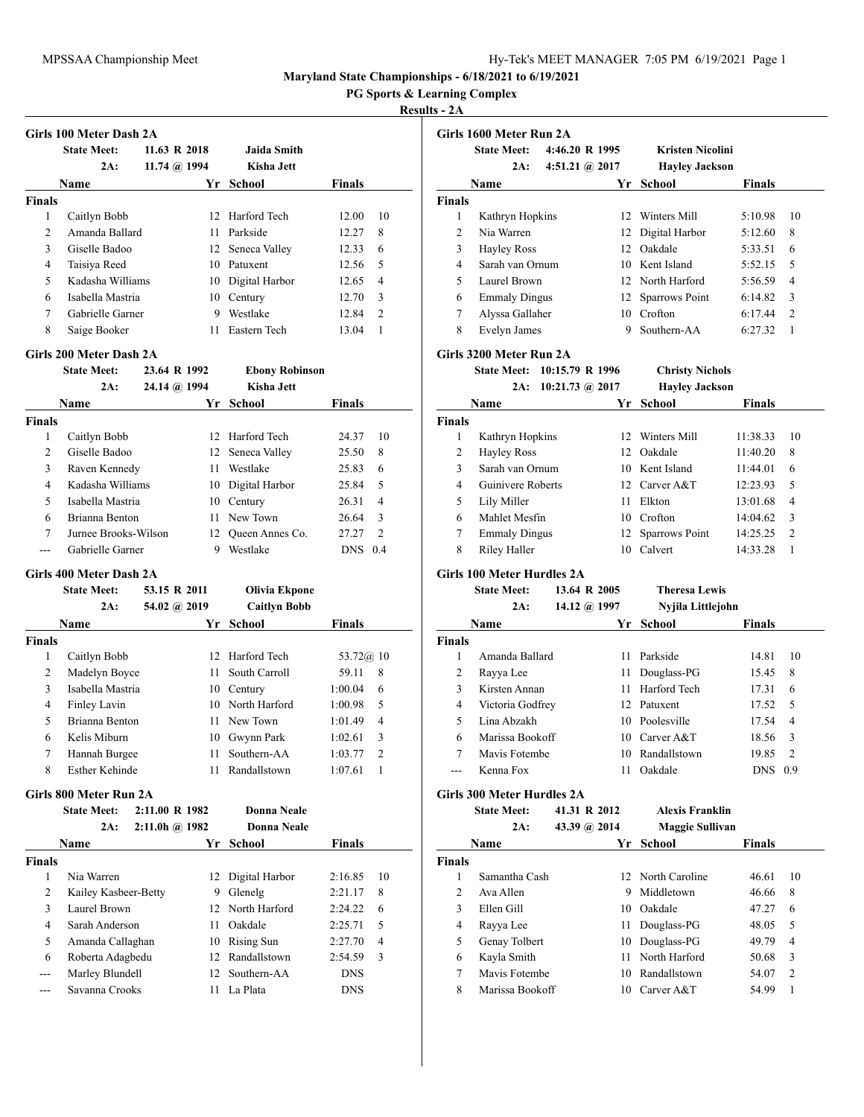<u> 1989 - Johann Barbara, martxa amerikan per</u>

**Maryland State Championships - 6/18/2021 to 6/19/2021**

**PG Sports & Learning Complex**

## **Results - 2A**

|                | <b>State Meet:</b><br>2A: | 11.63 R 2018<br>11.74 $@.1994$ | <b>Jaida Smith</b><br>Kisha Jett |               |    |
|----------------|---------------------------|--------------------------------|----------------------------------|---------------|----|
|                | Name                      | Yr                             | School                           | <b>Finals</b> |    |
| <b>Finals</b>  |                           |                                |                                  |               |    |
| 1              | Caitlyn Bobb              |                                | 12 Harford Tech                  | 12.00         | 10 |
| $\mathfrak{D}$ | Amanda Ballard            | 11                             | Parkside                         | 12.27         | 8  |
| 3              | Giselle Badoo             |                                | 12 Seneca Valley                 | 12.33         | 6  |
| 4              | Taisiya Reed              | 10                             | Patuxent                         | 12.56         | 5  |
| 5              | Kadasha Williams          | 10                             | Digital Harbor                   | 12.65         | 4  |
| 6              | Isabella Mastria          | 10                             | Century                          | 12.70         | 3  |
| 7              | Gabrielle Garner          | 9                              | Westlake                         | 12.84         | 2  |
| 8              | Saige Booker              | 11                             | Eastern Tech                     | 13.04         | 1  |

|                | Diaw Bittle          | 49.VT IN 1774            | ЕРОПУ ГАОРШЭОН   |               |                |
|----------------|----------------------|--------------------------|------------------|---------------|----------------|
|                | 2A:                  | $24.14 \; (\omega)$ 1994 | Kisha Jett       |               |                |
|                | Name                 | Yr                       | <b>School</b>    | <b>Finals</b> |                |
| <b>Finals</b>  |                      |                          |                  |               |                |
| 1              | Caitlyn Bobb         |                          | 12 Harford Tech  | 24.37         | 10             |
| $\overline{2}$ | Giselle Badoo        |                          | 12 Seneca Valley | 25.50         | 8              |
| 3              | Raven Kennedy        | 11                       | Westlake         | 25.83         | 6              |
| 4              | Kadasha Williams     | 10                       | Digital Harbor   | 25.84         | 5              |
| 5              | Isabella Mastria     |                          | 10 Century       | 26.31         | $\overline{4}$ |
| 6              | Brianna Benton       |                          | 11 New Town      | 26.64         | 3              |
| 7              | Jurnee Brooks-Wilson | 12.                      | Queen Annes Co.  | 27.27         | $\overline{2}$ |
|                | Gabrielle Garner     | 9                        | Westlake         | <b>DNS</b>    | 0.4            |

## **Girls 400 Meter Dash 2A**

|               | <b>State Meet:</b> | 53.15 R 2011 | Olivia Ekpone       |                           |
|---------------|--------------------|--------------|---------------------|---------------------------|
|               | 2A:                | 54.02 @ 2019 | <b>Caitlyn Bobb</b> |                           |
|               | Name               | Yr           | <b>School</b>       | <b>Finals</b>             |
| <b>Finals</b> |                    |              |                     |                           |
| 1             | Caitlyn Bobb       | 12.          | Harford Tech        | 53.72@ 10                 |
| 2             | Madelyn Boyce      | 11           | South Carroll       | 59.11<br>8                |
| 3             | Isabella Mastria   | 10           | Century             | 1:00.04<br>6              |
| 4             | Finley Lavin       |              | 10 North Harford    | 1:00.98<br>5              |
| 5             | Brianna Benton     |              | 11 New Town         | 1:01.49<br>4              |
| 6             | Kelis Miburn       | 10           | Gwynn Park          | 3<br>1:02.61              |
| 7             | Hannah Burgee      | 11           | Southern-AA         | 1:03.77<br>$\overline{c}$ |
| 8             | Esther Kehinde     | 11           | Randallstown        | 1:07.61                   |

### **Girls 800 Meter Run 2A**

|        | <b>State Meet:</b>   | 2:11.00 R 1982          |     | Donna Neale       |               |                |
|--------|----------------------|-------------------------|-----|-------------------|---------------|----------------|
|        | 2A:                  | $2:11.0h$ $\omega$ 1982 |     | Donna Neale       |               |                |
|        | <b>Name</b>          |                         | Yr. | School            | <b>Finals</b> |                |
| Finals |                      |                         |     |                   |               |                |
| 1      | Nia Warren           |                         |     | 12 Digital Harbor | 2:16.85       | 10             |
| 2      | Kailey Kasbeer-Betty |                         | 9   | Glenelg           | 2:21.17       | 8              |
| 3      | Laurel Brown         |                         |     | 12 North Harford  | 2:24.22       | 6              |
| 4      | Sarah Anderson       |                         | 11  | Oakdale           | 2:25.71       | 5              |
| 5      | Amanda Callaghan     |                         | 10  | Rising Sun        | 2:27.70       | $\overline{4}$ |
| 6      | Roberta Adagbedu     |                         |     | 12 Randallstown   | 2:54.59       | 3              |
| ---    | Marley Blundell      |                         |     | 12 Southern-AA    | <b>DNS</b>    |                |
|        | Savanna Crooks       |                         | 11  | La Plata          | <b>DNS</b>    |                |

| Girls 1600 Meter Run 2A |                      |                |                 |                       |               |                |  |  |
|-------------------------|----------------------|----------------|-----------------|-----------------------|---------------|----------------|--|--|
|                         | <b>State Meet:</b>   | 4:46.20 R 1995 |                 | Kristen Nicolini      |               |                |  |  |
|                         | 2A:                  | 4:51.21 @ 2017 |                 | <b>Hayley Jackson</b> |               |                |  |  |
|                         | Name                 |                | Yr              | School                | <b>Finals</b> |                |  |  |
| <b>Finals</b>           |                      |                |                 |                       |               |                |  |  |
| 1                       | Kathryn Hopkins      |                | 12 <sub>1</sub> | Winters Mill          | 5:10.98       | 10             |  |  |
| $\mathfrak{D}$          | Nia Warren           |                |                 | 12 Digital Harbor     | 5:12.60       | 8              |  |  |
| 3                       | <b>Hayley Ross</b>   |                | 12.             | Oakdale               | 5:33.51       | 6              |  |  |
| 4                       | Sarah van Ornum      |                |                 | 10 Kent Island        | 5:52.15       | 5              |  |  |
| 5                       | Laurel Brown         |                |                 | 12 North Harford      | 5:56.59       | $\overline{4}$ |  |  |
| 6                       | <b>Emmaly Dingus</b> |                |                 | 12 Sparrows Point     | 6:14.82       | 3              |  |  |
| 7                       | Alyssa Gallaher      |                | 10              | Crofton               | 6:17.44       | $\mathcal{L}$  |  |  |
| 8                       | Evelyn James         |                | 9               | Southern-AA           | 6:27.32       | 1              |  |  |

## **Girls 3200 Meter Run 2A**

**State Meet: 10:15.79 R 1996 Christy Nichols**

|  | 2A: 10:21.73 @ 2017 |  |  | <b>Hayley Jackson</b> |
|--|---------------------|--|--|-----------------------|
|--|---------------------|--|--|-----------------------|

| Name                 |     | School  | <b>Finals</b>                                                                              |    |
|----------------------|-----|---------|--------------------------------------------------------------------------------------------|----|
|                      |     |         |                                                                                            |    |
| Kathryn Hopkins      | 12. |         | 11:38.33                                                                                   | 10 |
| <b>Hayley Ross</b>   | 12. |         | 11:40.20                                                                                   | 8  |
| Sarah van Ornum      |     |         | 11:44.01                                                                                   | 6  |
| Guinivere Roberts    |     |         | 12:23.93                                                                                   | 5  |
| Lily Miller          | 11  | Elkton  | 13:01.68                                                                                   | 4  |
| Mahlet Mesfin        | 10  |         | 14:04.62                                                                                   | 3  |
| <b>Emmaly Dingus</b> |     |         | 14:25.25                                                                                   | 2  |
| Riley Haller         | 10  | Calvert | 14:33.28                                                                                   |    |
|                      |     | Yг      | Winters Mill<br>Oakdale<br>10 Kent Island<br>12 Carver A&T<br>Crofton<br>12 Sparrows Point |    |

## **Girls 100 Meter Hurdles 2A**

|               | <b>State Meet:</b> | 13.64 R 2005 |    | <b>Theresa Lewis</b> |               |                |
|---------------|--------------------|--------------|----|----------------------|---------------|----------------|
|               | 2A:                | 14.12 @ 1997 |    | Nyjila Littlejohn    |               |                |
|               | Name               |              | Yr | <b>School</b>        | <b>Finals</b> |                |
| <b>Finals</b> |                    |              |    |                      |               |                |
|               | Amanda Ballard     |              | 11 | Parkside             | 14.81         | 10             |
| 2             | Rayya Lee          |              | 11 | Douglass-PG          | 15.45         | 8              |
| 3             | Kirsten Annan      |              | 11 | Harford Tech         | 17.31         | 6              |
| 4             | Victoria Godfrey   |              |    | 12 Patuxent          | 17.52         | .5             |
| 5             | Lina Abzakh        |              |    | 10 Poolesville       | 17.54         | $\overline{4}$ |
| 6             | Marissa Bookoff    |              |    | 10 Carver A&T        | 18.56         | 3              |
| 7             | Mavis Fotembe      |              | 10 | Randallstown         | 19.85         | $\overline{2}$ |
|               | Kenna Fox          |              | 11 | Oakdale              | <b>DNS</b>    | 0.9            |

### **Girls 300 Meter Hurdles 2A**

|               | <b>State Meet:</b> | 41.31 R 2012 | <b>Alexis Franklin</b> |               |                |
|---------------|--------------------|--------------|------------------------|---------------|----------------|
|               | 2A:                | 43.39 @ 2014 | Maggie Sullivan        |               |                |
|               | Name               | Yr           | <b>School</b>          | <b>Finals</b> |                |
| <b>Finals</b> |                    |              |                        |               |                |
|               | Samantha Cash      |              | 12 North Caroline      | 46.61         | 10             |
| 2             | Ava Allen          | 9            | Middletown             | 46.66         | 8              |
| 3             | Ellen Gill         | 10           | Oakdale                | 47.27         | 6              |
| 4             | Rayya Lee          |              | 11 Douglass-PG         | 48.05         | 5              |
| 5             | Genay Tolbert      |              | 10 Douglass-PG         | 49.79         | 4              |
| 6             | Kayla Smith        | 11           | North Harford          | 50.68         | 3              |
| 7             | Mavis Fotembe      | 10           | Randallstown           | 54.07         | $\overline{2}$ |
| 8             | Marissa Bookoff    | 10           | Carver A&T             | 54.99         | 1              |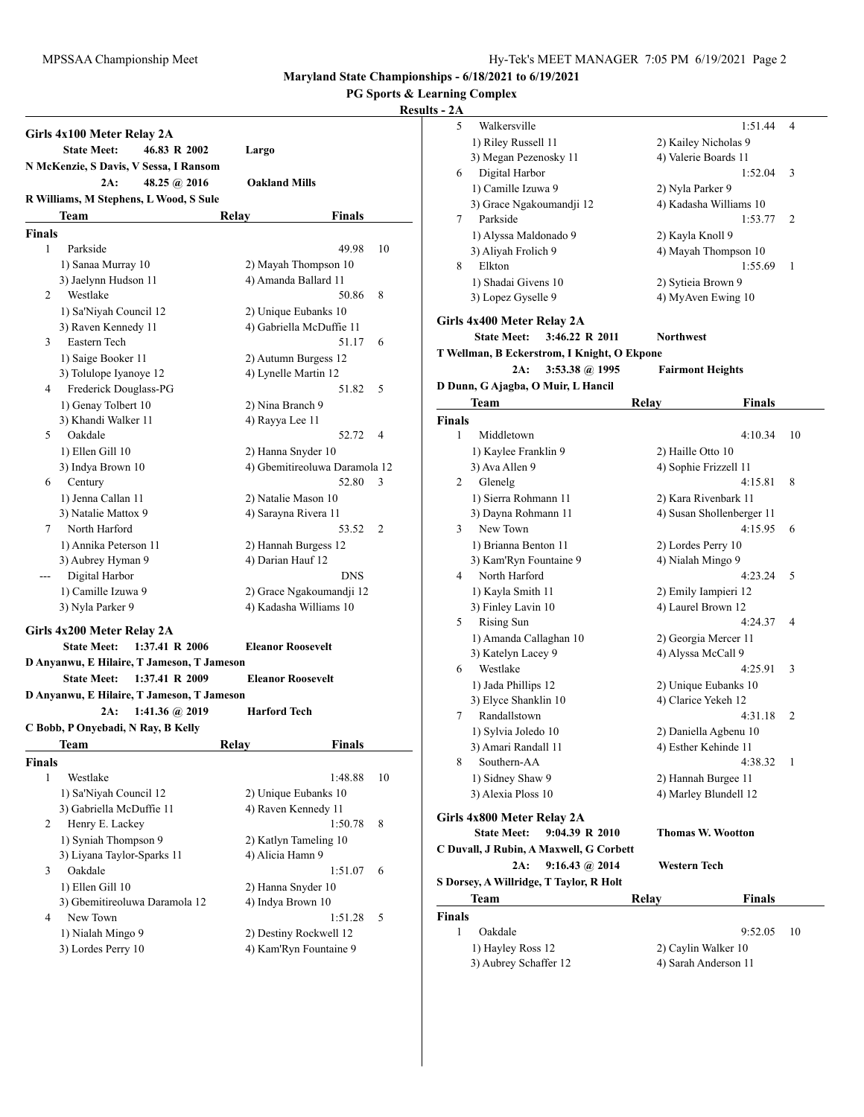#### **PG Sports & Learning Complex**

|        | Girls 4x100 Meter Relay 2A<br><b>State Meet:</b><br>46.83 R 2002                                                 | Largo                         |    |
|--------|------------------------------------------------------------------------------------------------------------------|-------------------------------|----|
|        | N McKenzie, S Davis, V Sessa, I Ransom                                                                           |                               |    |
|        | 2A:<br>48.25 @ 2016                                                                                              | <b>Oakland Mills</b>          |    |
|        | R Williams, M Stephens, L Wood, S Sule                                                                           |                               |    |
|        | Team                                                                                                             | Relay<br><b>Finals</b>        |    |
| Finals |                                                                                                                  |                               |    |
| 1      | Parkside                                                                                                         | 49.98                         | 10 |
|        | 1) Sanaa Murray 10                                                                                               | 2) Mayah Thompson 10          |    |
|        | 3) Jaelynn Hudson 11                                                                                             | 4) Amanda Ballard 11          |    |
| 2      | Westlake                                                                                                         | 50.86                         | 8  |
|        | 1) Sa'Niyah Council 12                                                                                           | 2) Unique Eubanks 10          |    |
|        | 3) Raven Kennedy 11                                                                                              | 4) Gabriella McDuffie 11      |    |
| 3      | Eastern Tech                                                                                                     | 51.17                         | 6  |
|        | 1) Saige Booker 11                                                                                               | 2) Autumn Burgess 12          |    |
|        | 3) Tolulope Iyanoye 12                                                                                           | 4) Lynelle Martin 12          |    |
| 4      | Frederick Douglass-PG                                                                                            | 51.82                         | 5  |
|        | 1) Genay Tolbert 10                                                                                              | 2) Nina Branch 9              |    |
|        | 3) Khandi Walker 11                                                                                              | 4) Rayya Lee 11               |    |
| 5      | Oakdale                                                                                                          | 52.72                         | 4  |
|        | 1) Ellen Gill 10                                                                                                 | 2) Hanna Snyder 10            |    |
|        | 3) Indya Brown 10                                                                                                | 4) Gbemitireoluwa Daramola 12 |    |
| 6      | Century                                                                                                          | 52.80                         | 3  |
|        | 1) Jenna Callan 11                                                                                               | 2) Natalie Mason 10           |    |
|        | 3) Natalie Mattox 9                                                                                              | 4) Sarayna Rivera 11          |    |
| 7      | North Harford                                                                                                    | 53.52                         | 2  |
|        | 1) Annika Peterson 11                                                                                            | 2) Hannah Burgess 12          |    |
|        | 3) Aubrey Hyman 9                                                                                                | 4) Darian Hauf 12             |    |
|        | Digital Harbor                                                                                                   | <b>DNS</b>                    |    |
|        | 1) Camille Izuwa 9                                                                                               | 2) Grace Ngakoumandji 12      |    |
|        | 3) Nyla Parker 9                                                                                                 | 4) Kadasha Williams 10        |    |
|        | Girls 4x200 Meter Relay 2A<br>1:37.41 R 2006<br><b>State Meet:</b><br>D Anyanwu, E Hilaire, T Jameson, T Jameson | <b>Eleanor Roosevelt</b>      |    |
|        | <b>State Meet:</b><br>1:37.41 R 2009                                                                             | <b>Eleanor Roosevelt</b>      |    |
|        | D Anyanwu, E Hilaire, T Jameson, T Jameson                                                                       |                               |    |
|        | 2A:<br>$1:41.36 \ (a) 2019$                                                                                      | <b>Harford Tech</b>           |    |
|        | C Bobb, P Onyebadi, N Ray, B Kelly                                                                               |                               |    |
|        | Team                                                                                                             | Relav<br>Finals               |    |
| Finals |                                                                                                                  |                               |    |
| 1      | Westlake                                                                                                         | 1:48.88                       | 10 |
|        | 1) Sa'Niyah Council 12                                                                                           | 2) Unique Eubanks 10          |    |
|        | 3) Gabriella McDuffie 11                                                                                         | 4) Raven Kennedy 11           |    |
| 2      | Henry E. Lackey                                                                                                  | 1:50.78                       | 8  |
|        | 1) Syniah Thompson 9                                                                                             | 2) Katlyn Tameling 10         |    |
|        | 3) Liyana Taylor-Sparks 11                                                                                       | 4) Alicia Hamn 9              |    |
| 3      | Oakdale                                                                                                          | 1:51.07                       | 6  |
|        | 1) Ellen Gill 10                                                                                                 | 2) Hanna Snyder 10            |    |
|        | 3) Gbemitireoluwa Daramola 12                                                                                    | 4) Indya Brown 10             |    |
| 4      | New Town                                                                                                         | 1:51.28                       | 5  |
|        | 1) Nialah Mingo 9                                                                                                | 2) Destiny Rockwell 12        |    |
|        | 3) Lordes Perry 10                                                                                               | 4) Kam'Ryn Fountaine 9        |    |
|        |                                                                                                                  |                               |    |

| $\overline{ }$ |                                             |                           |    |
|----------------|---------------------------------------------|---------------------------|----|
| 5              | Walkersville                                | 1:51.44                   | 4  |
|                | 1) Riley Russell 11                         | 2) Kailey Nicholas 9      |    |
|                | 3) Megan Pezenosky 11                       | 4) Valerie Boards 11      |    |
| 6              | Digital Harbor                              | 1:52.04                   | 3  |
|                | 1) Camille Izuwa 9                          | 2) Nyla Parker 9          |    |
|                | 3) Grace Ngakoumandji 12                    | 4) Kadasha Williams 10    |    |
| 7              | Parkside                                    | 1:53.77                   | 2  |
|                |                                             |                           |    |
|                | 1) Alyssa Maldonado 9                       | 2) Kayla Knoll 9          |    |
|                | 3) Aliyah Frolich 9                         | 4) Mayah Thompson 10      |    |
| 8              | Elkton                                      | 1:55.69                   | 1  |
|                | 1) Shadai Givens 10                         | 2) Sytieia Brown 9        |    |
|                | 3) Lopez Gyselle 9                          | 4) MyAven Ewing 10        |    |
|                | Girls 4x400 Meter Relay 2A                  |                           |    |
|                | <b>State Meet:</b><br>3:46.22 R 2011        | Northwest                 |    |
|                |                                             |                           |    |
|                | T Wellman, B Eckerstrom, I Knight, O Ekpone |                           |    |
|                | 3:53.38 @ 1995<br>2A:                       | <b>Fairmont Heights</b>   |    |
|                | D Dunn, G Ajagba, O Muir, L Hancil          |                           |    |
|                | Team                                        | Relay<br>Finals           |    |
| <b>Finals</b>  |                                             |                           |    |
| 1              | Middletown                                  | 4:10.34                   | 10 |
|                | 1) Kaylee Franklin 9                        | 2) Haille Otto 10         |    |
|                | 3) Ava Allen 9                              | 4) Sophie Frizzell 11     |    |
| 2              | Glenelg                                     | 4:15.81                   | 8  |
|                | 1) Sierra Rohmann 11                        | 2) Kara Rivenbark 11      |    |
|                | 3) Dayna Rohmann 11                         | 4) Susan Shollenberger 11 |    |
| 3              | New Town                                    | 4:15.95                   | 6  |
|                | 1) Brianna Benton 11                        | 2) Lordes Perry 10        |    |
|                | 3) Kam'Ryn Fountaine 9                      | 4) Nialah Mingo 9         |    |
| 4              | North Harford                               | 4:23.24                   | 5  |
|                |                                             |                           |    |
|                | 1) Kayla Smith 11                           | 2) Emily Iampieri 12      |    |
|                | 3) Finley Lavin 10                          | 4) Laurel Brown 12        |    |
| 5              | Rising Sun                                  | 4:24.37                   | 4  |
|                | 1) Amanda Callaghan 10                      | 2) Georgia Mercer 11      |    |
|                | 3) Katelyn Lacey 9                          | 4) Alyssa McCall 9        |    |
| 6              | Westlake                                    | 4:25.91                   | 3  |
|                | 1) Jada Phillips 12                         | 2) Unique Eubanks 10      |    |
|                | 3) Elyce Shanklin 10                        | 4) Clarice Yekeh 12       |    |
| 7              | Randallstown                                | 4:31.18                   | 2  |
|                | 1) Sylvia Joledo 10                         | 2) Daniella Agbenu 10     |    |
|                | 3) Amari Randall 11                         | 4) Esther Kehinde 11      |    |
| 8              | Southern-AA                                 | 4:38.32                   | 1  |
|                | 1) Sidney Shaw 9                            | 2) Hannah Burgee 11       |    |
|                | 3) Alexia Ploss 10                          | 4) Marley Blundell 12     |    |
|                |                                             |                           |    |
|                | Girls 4x800 Meter Relay 2A                  |                           |    |
|                | 9:04.39 R 2010<br><b>State Meet:</b>        | Thomas W. Wootton         |    |
|                | C Duvall, J Rubin, A Maxwell, G Corbett     |                           |    |
|                | $9:16.43 \; (a) 2014$<br>2A:                | Western Tech              |    |
|                | S Dorsey, A Willridge, T Taylor, R Holt     |                           |    |
|                | Team                                        | Relay<br><b>Finals</b>    |    |
| <b>Finals</b>  |                                             |                           |    |
| 1              | Oakdale                                     | 9:52.05                   | 10 |
|                | 1) Hayley Ross 12                           | 2) Caylin Walker 10       |    |
|                | 3) Aubrey Schaffer 12                       | 4) Sarah Anderson 11      |    |
|                |                                             |                           |    |
|                |                                             |                           |    |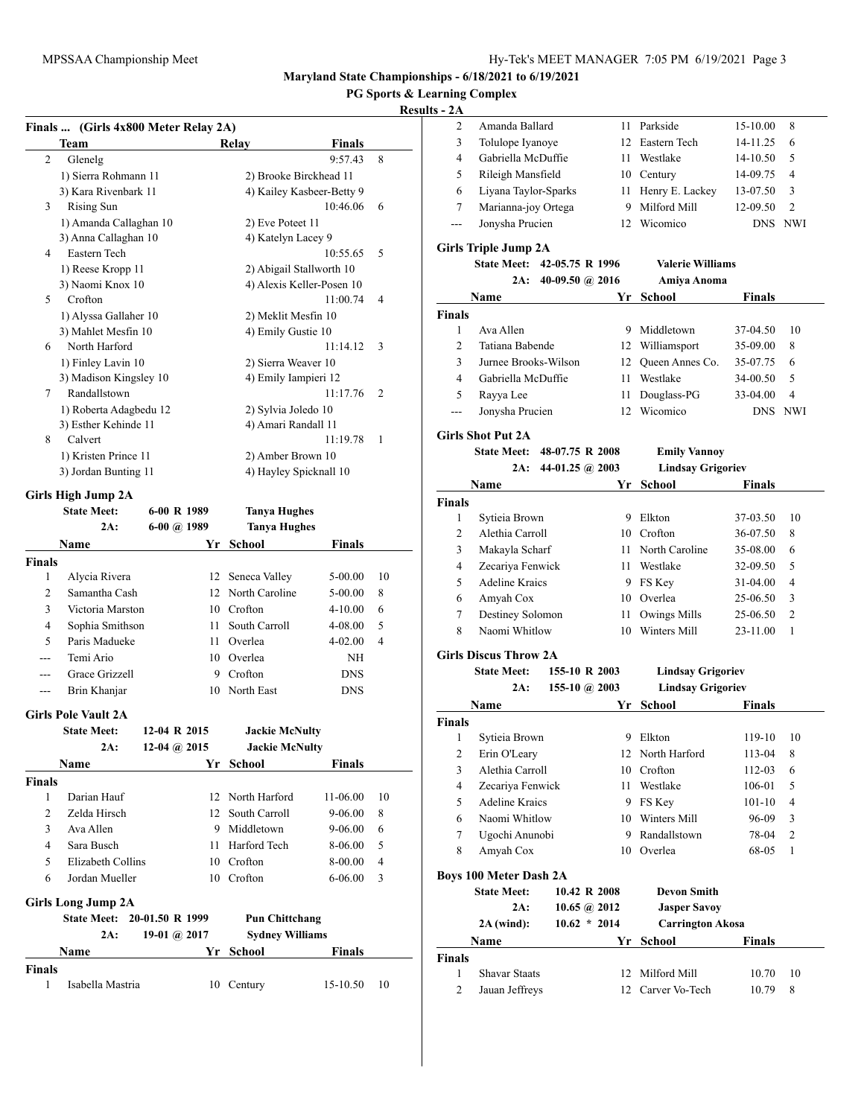## **PG Sports & Learning Complex**

## **Results**

|               | Finals  (Girls 4x800 Meter Relay 2A)  |                   |    |                                                       |                           |    |
|---------------|---------------------------------------|-------------------|----|-------------------------------------------------------|---------------------------|----|
|               | Team                                  |                   |    | Relay                                                 | <b>Finals</b>             |    |
| 2             | Glenelg                               |                   |    |                                                       | 9:57.43                   | 8  |
|               | 1) Sierra Rohmann 11                  |                   |    | 2) Brooke Birckhead 11                                |                           |    |
|               | 3) Kara Rivenbark 11                  |                   |    |                                                       | 4) Kailey Kasbeer-Betty 9 |    |
| 3             | Rising Sun                            |                   |    |                                                       | 10:46.06                  | 6  |
|               | 1) Amanda Callaghan 10                |                   |    | 2) Eve Poteet 11                                      |                           |    |
| 4             | 3) Anna Callaghan 10<br>Eastern Tech  |                   |    | 4) Katelyn Lacey 9                                    |                           |    |
|               |                                       |                   |    |                                                       | 10:55.65                  | 5  |
|               | 1) Reese Kropp 11<br>3) Naomi Knox 10 |                   |    | 2) Abigail Stallworth 10<br>4) Alexis Keller-Posen 10 |                           |    |
| 5             | Crofton                               |                   |    |                                                       | 11:00.74                  | 4  |
|               | 1) Alyssa Gallaher 10                 |                   |    | 2) Meklit Mesfin 10                                   |                           |    |
|               | 3) Mahlet Mesfin 10                   |                   |    | 4) Emily Gustie 10                                    |                           |    |
| 6             | North Harford                         |                   |    |                                                       | 11:14.12                  | 3  |
|               | 1) Finley Lavin 10                    |                   |    | 2) Sierra Weaver 10                                   |                           |    |
|               | 3) Madison Kingsley 10                |                   |    | 4) Emily Iampieri 12                                  |                           |    |
| 7             | Randallstown                          |                   |    |                                                       | 11:17.76                  | 2  |
|               | 1) Roberta Adagbedu 12                |                   |    | 2) Sylvia Joledo 10                                   |                           |    |
|               | 3) Esther Kehinde 11                  |                   |    | 4) Amari Randall 11                                   |                           |    |
| 8             | Calvert                               |                   |    |                                                       | 11:19.78                  | 1  |
|               | 1) Kristen Prince 11                  |                   |    | 2) Amber Brown 10                                     |                           |    |
|               | 3) Jordan Bunting 11                  |                   |    | 4) Hayley Spicknall 10                                |                           |    |
|               | Girls High Jump 2A                    |                   |    |                                                       |                           |    |
|               | <b>State Meet:</b>                    | 6-00 R 1989       |    | <b>Tanya Hughes</b>                                   |                           |    |
|               | 2A:                                   | $6-00$ $(a)$ 1989 |    | <b>Tanya Hughes</b>                                   |                           |    |
|               | Name                                  |                   | Yr | <b>School</b>                                         | <b>Finals</b>             |    |
| <b>Finals</b> |                                       |                   |    |                                                       |                           |    |
| 1             | Alycia Rivera                         |                   | 12 | Seneca Valley                                         | 5-00.00                   | 10 |
| 2             | Samantha Cash                         |                   |    | 12 North Caroline                                     | 5-00.00                   | 8  |
| 3             | Victoria Marston                      |                   |    | 10 Crofton                                            | 4-10.00                   | 6  |
| 4             | Sophia Smithson                       |                   |    | 11 South Carroll                                      | 4-08.00                   | 5  |
| 5             | Paris Madueke                         |                   |    | 11 Overlea                                            | 4-02.00                   | 4  |
| $- - -$       | Temi Ario                             |                   |    | 10 Overlea                                            | NΗ                        |    |
| ---           | Grace Grizzell                        |                   |    | 9 Crofton                                             | DNS                       |    |
| ---           | Brin Khanjar                          |                   | 10 | North East                                            | <b>DNS</b>                |    |
|               | <b>Girls Pole Vault 2A</b>            |                   |    |                                                       |                           |    |
|               | <b>State Meet:</b>                    | 12-04 R 2015      |    | <b>Jackie McNulty</b>                                 |                           |    |
|               | 2A:                                   | 12-04 @ 2015      |    | <b>Jackie McNulty</b>                                 |                           |    |
|               | Name                                  |                   |    | Yr School                                             | Finals                    |    |
| <b>Finals</b> |                                       |                   |    |                                                       |                           |    |
| 1             | Darian Hauf                           |                   |    | 12 North Harford                                      | 11-06.00                  | 10 |
| 2             | Zelda Hirsch                          |                   | 12 | South Carroll                                         | $9 - 06.00$               | 8  |
| 3             | Ava Allen                             |                   |    | 9 Middletown                                          | 9-06.00                   | 6  |
| 4             | Sara Busch                            |                   |    | 11 Harford Tech                                       | 8-06.00                   | 5  |
| 5             | Elizabeth Collins                     |                   |    | 10 Crofton                                            | 8-00.00                   | 4  |
| 6             | Jordan Mueller                        |                   |    | 10 Crofton                                            | 6-06.00                   | 3  |
|               | <b>Girls Long Jump 2A</b>             |                   |    |                                                       |                           |    |
|               | State Meet: 20-01.50 R 1999           |                   |    | <b>Pun Chittchang</b>                                 |                           |    |
|               | 2A:                                   | 19-01 @ $2017$    |    | <b>Sydney Williams</b>                                |                           |    |
|               | Name                                  |                   |    | Yr School                                             | Finals                    |    |
| Finals        |                                       |                   |    |                                                       |                           |    |
| 1             | Isabella Mastria                      |                   |    | 10 Century                                            | 15-10.50                  | 10 |
|               |                                       |                   |    |                                                       |                           |    |

| ts - 2A        |                               |                   |                      |                          |               |                |
|----------------|-------------------------------|-------------------|----------------------|--------------------------|---------------|----------------|
| 2              | Amanda Ballard                |                   |                      | 11 Parkside              | 15-10.00      | 8              |
| 3              | Tolulope Iyanoye              |                   |                      | 12 Eastern Tech          | 14-11.25      | 6              |
| 4              | Gabriella McDuffie            |                   |                      | 11 Westlake              | 14-10.50      | 5              |
| 5              | Rileigh Mansfield             |                   |                      | 10 Century               | 14-09.75      | 4              |
| 6              | Liyana Taylor-Sparks          |                   | 11                   | Henry E. Lackey          | 13-07.50      | 3              |
| 7              | Marianna-joy Ortega           |                   | 9                    | Milford Mill             | 12-09.50      | $\overline{2}$ |
| ---            | Jonysha Prucien               |                   | 12                   | Wicomico                 | DNS.          | NWI            |
|                |                               |                   |                      |                          |               |                |
|                | <b>Girls Triple Jump 2A</b>   |                   |                      |                          |               |                |
|                | <b>State Meet:</b>            | 42-05.75 R 1996   |                      | <b>Valerie Williams</b>  |               |                |
|                | 2A:                           | 40-09.50 $@$ 2016 |                      | Amiya Anoma              |               |                |
|                | Name                          |                   | Yr                   | School                   | <b>Finals</b> |                |
| <b>Finals</b>  |                               |                   |                      |                          |               |                |
| 1              | Ava Allen                     |                   |                      | 9 Middletown             | 37-04.50      | 10             |
| $\overline{c}$ | Tatiana Babende               |                   |                      | 12 Williamsport          | 35-09.00      | 8              |
| 3              | Jurnee Brooks-Wilson          |                   | 12                   | Queen Annes Co.          | 35-07.75      | 6              |
| 4              | Gabriella McDuffie            |                   | 11                   | Westlake                 | 34-00.50      | 5              |
| 5              | Rayya Lee                     |                   | 11 -                 | Douglass-PG              | 33-04.00      | 4              |
| ---            | Jonysha Prucien               |                   | 12                   | Wicomico                 | <b>DNS</b>    | NWI            |
|                |                               |                   |                      |                          |               |                |
|                | <b>Girls Shot Put 2A</b>      |                   |                      |                          |               |                |
|                | State Meet: 48-07.75 R 2008   |                   |                      | <b>Emily Vannoy</b>      |               |                |
|                | 2A:                           | 44-01.25 @ 2003   |                      | <b>Lindsay Grigoriev</b> |               |                |
|                | Name                          |                   | Yr                   | School                   | Finals        |                |
| <b>Finals</b>  |                               |                   |                      |                          |               |                |
| 1              | Sytieia Brown                 |                   |                      | 9 Elkton                 | 37-03.50      | 10             |
| 2              | Alethia Carroll               |                   |                      | 10 Crofton               | 36-07.50      | 8              |
| 3              | Makayla Scharf                |                   |                      | 11 North Caroline        | 35-08.00      | 6              |
| 4              | Zecariya Fenwick              |                   |                      | 11 Westlake              | 32-09.50      | 5              |
| 5              | Adeline Kraics                |                   |                      | 9 FS Key                 | 31-04.00      | 4              |
| 6              | Amyah Cox                     |                   |                      | 10 Overlea               | 25-06.50      | 3              |
| 7              | Destiney Solomon              |                   | 11 -                 | <b>Owings Mills</b>      | 25-06.50      | 2              |
| 8              | Naomi Whitlow                 |                   | 10                   | Winters Mill             | 23-11.00      | 1              |
|                | <b>Girls Discus Throw 2A</b>  |                   |                      |                          |               |                |
|                | <b>State Meet:</b>            |                   | 155-10 R 2003        | <b>Lindsay Grigoriev</b> |               |                |
|                | 2A:                           |                   | 155-10 $\omega$ 2003 | <b>Lindsay Grigoriev</b> |               |                |
|                | Name                          |                   | Yr                   | School                   | <b>Finals</b> |                |
| <b>Finals</b>  |                               |                   |                      |                          |               |                |
|                | 1 Sytieia Brown               |                   |                      | 9 Elkton                 | 119-10 10     |                |
| 2              | Erin O'Leary                  |                   |                      | 12 North Harford         | 113-04        | 8              |
| 3              | Alethia Carroll               |                   | 10                   | Crofton                  | 112-03        | 6              |
| 4              | Zecariya Fenwick              |                   | 11 -                 | Westlake                 | 106-01        | 5              |
| 5              | Adeline Kraics                |                   |                      | 9 FS Key                 | 101-10        | 4              |
| 6              | Naomi Whitlow                 |                   | 10                   | Winters Mill             | 96-09         | 3              |
| 7              | Ugochi Anunobi                |                   | 9                    | Randallstown             | 78-04         | 2              |
| 8              | Amyah Cox                     |                   | 10-                  | Overlea                  | 68-05         | 1              |
|                |                               |                   |                      |                          |               |                |
|                | <b>Boys 100 Meter Dash 2A</b> |                   |                      |                          |               |                |
|                | <b>State Meet:</b>            |                   | 10.42 R 2008         | <b>Devon Smith</b>       |               |                |
|                | 2A:                           |                   | 10.65 @ 2012         | <b>Jasper Savoy</b>      |               |                |
|                | $2A$ (wind):                  |                   | $10.62 * 2014$       | <b>Carrington Akosa</b>  |               |                |
|                | Name                          |                   | Yr                   | School                   | Finals        |                |
| Finals         |                               |                   |                      |                          |               |                |
| 1              | <b>Shavar Staats</b>          |                   | 12                   | Milford Mill             | 10.70         | 10             |
| 2              | Jauan Jeffreys                |                   | 12                   | Carver Vo-Tech           | 10.79         | 8              |
|                |                               |                   |                      |                          |               |                |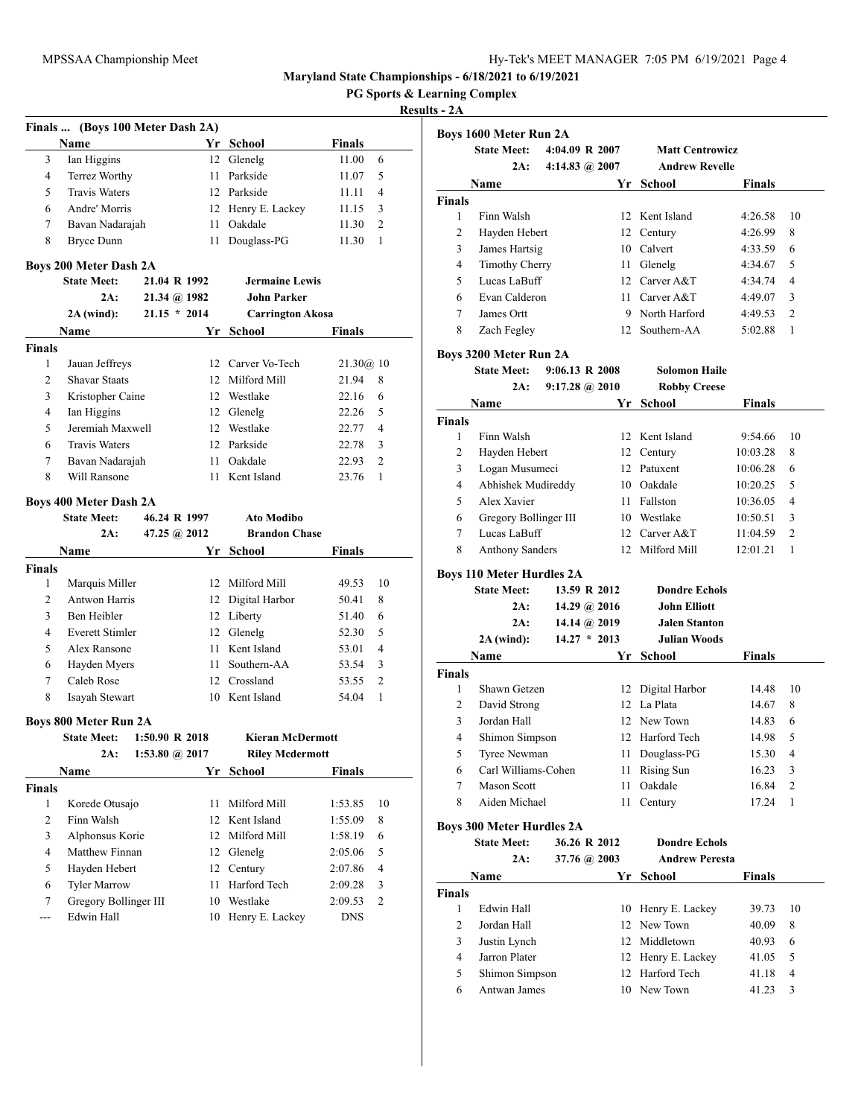**Finals ... (Boys 100 Meter Dash 2A)**

**Maryland State Championships - 6/18/2021 to 6/19/2021**

**PG Sports & Learning Complex**

## **Results - 2A**

|                        | <b>Name</b>                                        |                           |          | Yr School                   | <b>Finals</b>  |    |
|------------------------|----------------------------------------------------|---------------------------|----------|-----------------------------|----------------|----|
| 3                      | Ian Higgins                                        |                           |          | 12 Glenelg                  | 11.00          | 6  |
| 4                      | Terrez Worthy                                      |                           | 11 -     | Parkside                    | 11.07          | 5  |
| 5                      | <b>Travis Waters</b>                               |                           |          | 12 Parkside                 | 11.11          | 4  |
| 6                      | Andre' Morris                                      |                           |          | 12 Henry E. Lackey          | 11.15          | 3  |
| 7                      | Bavan Nadarajah                                    |                           | 11 -     | Oakdale                     | 11.30          | 2  |
| 8                      | Bryce Dunn                                         |                           | 11 -     | Douglass-PG                 | 11.30          | 1  |
|                        | <b>Boys 200 Meter Dash 2A</b>                      |                           |          |                             |                |    |
|                        | <b>State Meet:</b>                                 | 21.04 R 1992              |          | <b>Jermaine Lewis</b>       |                |    |
|                        | 2A:                                                | $21.34 \; (a) 1982$       |          | <b>John Parker</b>          |                |    |
|                        | $2A$ (wind):                                       | $21.15 * 2014$            |          | <b>Carrington Akosa</b>     |                |    |
|                        | Name                                               |                           | Yr       | School                      | Finals         |    |
| <b>Finals</b>          |                                                    |                           |          |                             |                |    |
| 1                      | Jauan Jeffreys                                     |                           |          | 12 Carver Vo-Tech           | 21.30@.10      |    |
| 2                      | <b>Shavar Staats</b>                               |                           |          | 12 Milford Mill             | 21.94          | 8  |
| 3                      | Kristopher Caine                                   |                           |          | 12 Westlake                 | 22.16          | 6  |
| 4                      | Ian Higgins                                        |                           |          | 12 Glenelg                  | 22.26          | 5  |
| 5                      | Jeremiah Maxwell                                   |                           |          | 12 Westlake                 | 22.77          | 4  |
| 6                      | <b>Travis Waters</b>                               |                           |          | 12 Parkside                 | 22.78          | 3  |
| 7                      | Bavan Nadarajah                                    |                           |          | 11 Oakdale                  | 22.93          | 2  |
| 8                      | Will Ransone                                       |                           |          | 11 Kent Island              | 23.76          | 1  |
|                        |                                                    |                           |          |                             |                |    |
|                        | <b>Boys 400 Meter Dash 2A</b>                      |                           |          |                             |                |    |
|                        | <b>State Meet:</b>                                 | 46.24 R 1997              |          | <b>Ato Modibo</b>           |                |    |
|                        | 2A:                                                |                           |          |                             |                |    |
|                        |                                                    | 47.25 (a) $2012$          |          | <b>Brandon Chase</b>        |                |    |
|                        | Name                                               |                           | Yr       | School                      | Finals         |    |
| <b>Finals</b>          |                                                    |                           |          |                             |                |    |
| 1                      | Marquis Miller                                     |                           |          | 12 Milford Mill             | 49.53          | 10 |
| 2                      | <b>Antwon Harris</b>                               |                           |          | 12 Digital Harbor           | 50.41          | 8  |
| 3                      | Ben Heibler                                        |                           |          | 12 Liberty                  | 51.40          | 6  |
| 4                      | <b>Everett Stimler</b>                             |                           |          | 12 Glenelg                  | 52.30          | 5  |
| 5                      | Alex Ransone                                       |                           |          | 11 Kent Island              | 53.01          | 4  |
| 6                      | Hayden Myers                                       |                           | 11 -     | Southern-AA                 | 53.54          | 3  |
| 7                      | Caleb Rose                                         |                           |          | 12 Crossland                | 53.55          | 2  |
| 8                      | Isayah Stewart                                     |                           |          | 10 Kent Island              | 54.04          | 1  |
|                        |                                                    |                           |          |                             |                |    |
|                        | <b>Boys 800 Meter Run 2A</b><br><b>State Meet:</b> | $1:50.90 \text{ R } 2018$ |          | <b>Kieran McDermott</b>     |                |    |
|                        | 2A:                                                | 1:53.80 @ 2017            |          |                             |                |    |
|                        |                                                    |                           |          | <b>Riley Mcdermott</b>      |                |    |
|                        | <b>Name</b>                                        |                           | Yr       | School <u>School</u>        | Finals         |    |
| Finals<br>$\mathbf{1}$ | Korede Otusajo                                     |                           | 11       | Milford Mill                | 1:53.85        | 10 |
|                        | Finn Walsh                                         |                           | 12       | Kent Island                 | 1:55.09        | 8  |
| $\overline{c}$         |                                                    |                           |          |                             |                |    |
| 3                      | Alphonsus Korie<br>Matthew Finnan                  |                           | 12       | Milford Mill                | 1:58.19        | 6  |
| 4                      |                                                    |                           | 12       | Glenelg                     | 2:05.06        | 5  |
| 5                      | Hayden Hebert                                      |                           | 12       | Century                     | 2:07.86        | 4  |
| 6                      | <b>Tyler Marrow</b>                                |                           | 11       | Harford Tech                | 2:09.28        | 3  |
| 7<br>---               | Gregory Bollinger III<br>Edwin Hall                |                           | 10<br>10 | Westlake<br>Henry E. Lackey | 2:09.53<br>DNS | 2  |

|                    | <b>Boys 1600 Meter Run 2A</b>                |                           |                |                        |          |    |
|--------------------|----------------------------------------------|---------------------------|----------------|------------------------|----------|----|
|                    | <b>State Meet:</b>                           | 4:04.09 R 2007            |                | <b>Matt Centrowicz</b> |          |    |
|                    | 2A:                                          | 4:14.83 @ 2007            |                | <b>Andrew Revelle</b>  |          |    |
|                    | Name                                         |                           | Yr             | School                 | Finals   |    |
| <b>Finals</b>      |                                              |                           |                |                        |          |    |
| 1                  | Finn Walsh                                   |                           |                | 12 Kent Island         | 4:26.58  | 10 |
| 2                  | Hayden Hebert                                |                           |                | 12 Century             | 4:26.99  | 8  |
| 3                  | James Hartsig                                |                           |                | 10 Calvert             | 4:33.59  | 6  |
| 4                  | <b>Timothy Cherry</b>                        |                           |                | 11 Glenelg             | 4:34.67  | 5  |
| 5                  | Lucas LaBuff                                 |                           |                | 12 Carver A&T          | 4:34.74  | 4  |
| 6                  | Evan Calderon                                |                           |                | 11 Carver A&T          | 4:49.07  | 3  |
| 7                  | James Ortt                                   |                           |                | 9 North Harford        | 4:49.53  | 2  |
| 8                  | Zach Fegley                                  |                           |                | 12 Southern-AA         | 5:02.88  | 1  |
|                    |                                              |                           |                |                        |          |    |
|                    | Boys 3200 Meter Run 2A<br><b>State Meet:</b> | $9:06.13 \text{ R } 2008$ |                | <b>Solomon Haile</b>   |          |    |
|                    | 2A:                                          | $9:17.28 \; \omega$ 2010  |                | <b>Robby Creese</b>    |          |    |
|                    | Name                                         |                           | Yr             | School                 | Finals   |    |
|                    |                                              |                           |                |                        |          |    |
| <b>Finals</b><br>1 | Finn Walsh                                   |                           |                | 12 Kent Island         | 9:54.66  | 10 |
| 2                  | Hayden Hebert                                |                           |                | 12 Century             | 10:03.28 | 8  |
| 3                  | Logan Musumeci                               |                           |                | 12 Patuxent            | 10:06.28 | 6  |
| 4                  | Abhishek Mudireddy                           |                           |                | 10 Oakdale             | 10:20.25 | 5  |
| 5                  | Alex Xavier                                  |                           |                | 11 Fallston            | 10:36.05 | 4  |
| 6                  | Gregory Bollinger III                        |                           |                | 10 Westlake            | 10:50.51 | 3  |
| 7                  | Lucas LaBuff                                 |                           |                | 12 Carver A&T          | 11:04.59 | 2  |
| 8                  | <b>Anthony Sanders</b>                       |                           |                | 12 Milford Mill        | 12:01.21 | 1  |
|                    |                                              |                           |                |                        |          |    |
|                    | <b>Boys 110 Meter Hurdles 2A</b>             |                           |                |                        |          |    |
|                    | <b>State Meet:</b>                           |                           | 13.59 R 2012   | <b>Dondre Echols</b>   |          |    |
|                    | 2A:                                          |                           | 14.29 @ 2016   | <b>John Elliott</b>    |          |    |
|                    | 2A:                                          |                           | 14.14 @ $2019$ | <b>Jalen Stanton</b>   |          |    |
|                    | $2A$ (wind):                                 |                           | $14.27 * 2013$ | <b>Julian Woods</b>    |          |    |
|                    | Name                                         |                           | Yr             | <b>School</b>          | Finals   |    |
| <b>Finals</b>      |                                              |                           |                |                        |          |    |
| 1                  | Shawn Getzen                                 |                           |                | 12 Digital Harbor      | 14.48    | 10 |
| 2                  | David Strong                                 |                           |                | 12 La Plata            | 14.67    | 8  |
| 3                  | Jordan Hall                                  |                           |                | 12 New Town            | 14.83    | 6  |
| 4                  | Shimon Simpson                               |                           |                | 12 Harford Tech        | 14.98    | 5  |
| 5                  | Tyree Newman                                 |                           |                | 11 Douglass-PG         | 15.30    | 4  |
| 6                  | Carl Williams-Cohen                          |                           | 11 -           | Rising Sun             | 16.23    | 3  |
| 7                  | <b>Mason Scott</b><br>Aiden Michael          |                           | 11             | Oakdale                | 16.84    | 2  |
| 8                  |                                              |                           | 11             | Century                | 17.24    | 1  |
|                    | <b>Boys 300 Meter Hurdles 2A</b>             |                           |                |                        |          |    |
|                    | <b>State Meet:</b>                           |                           | 36.26 R 2012   | <b>Dondre Echols</b>   |          |    |
|                    | 2A:                                          |                           | 37.76 @ 2003   | <b>Andrew Peresta</b>  |          |    |
|                    | Name                                         |                           | Yr             | <b>School</b>          | Finals   |    |
| <b>Finals</b>      |                                              |                           |                |                        |          |    |
| 1                  | Edwin Hall                                   |                           | 10             | Henry E. Lackey        | 39.73    | 10 |
| 2                  | Jordan Hall                                  |                           |                | 12 New Town            | 40.09    | 8  |
| 3                  | Justin Lynch                                 |                           |                | 12 Middletown          | 40.93    | 6  |
| 4                  | Jarron Plater                                |                           |                | 12 Henry E. Lackey     | 41.05    | 5  |
| 5                  | Shimon Simpson                               |                           |                | 12 Harford Tech        | 41.18    | 4  |

6 Antwan James 10 New Town 41.23 3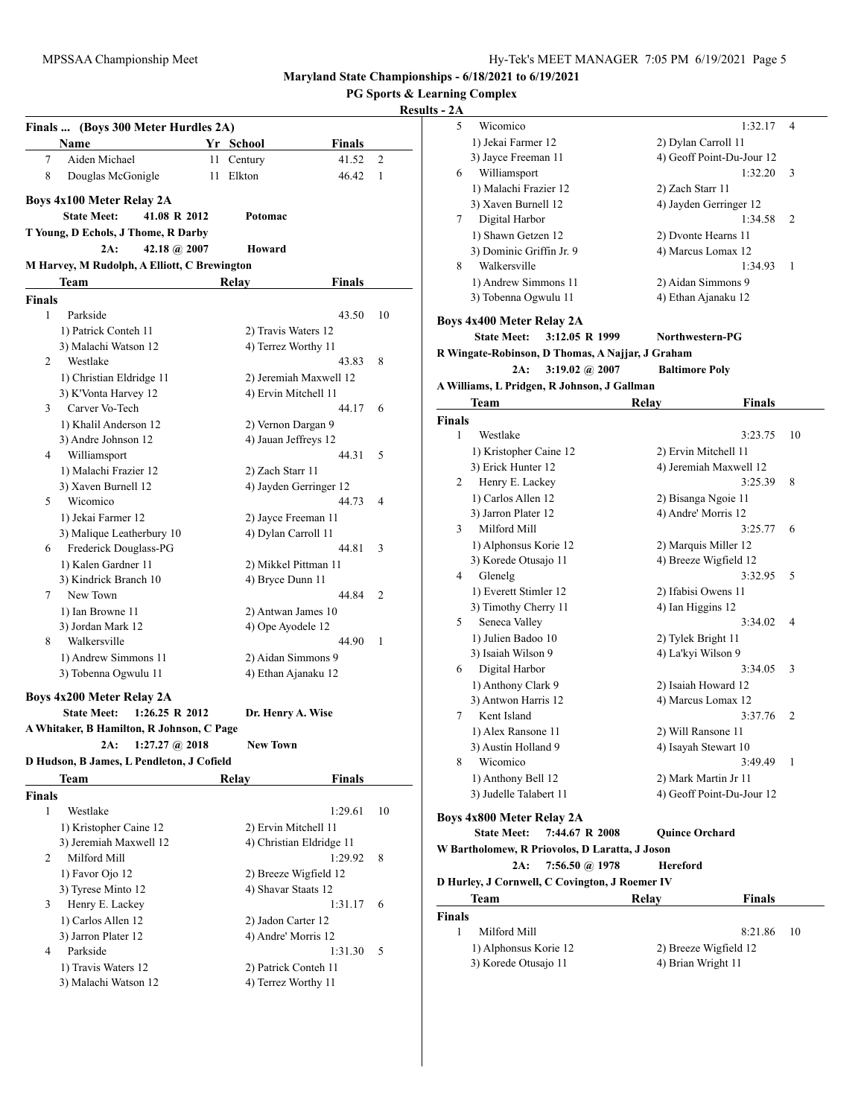**PG Sports & Learning Complex**

|               | Finals  (Boys 300 Meter Hurdles 2A)             |    |                                            |                                 |    |
|---------------|-------------------------------------------------|----|--------------------------------------------|---------------------------------|----|
|               | Name                                            |    | Yr School                                  | Finals                          |    |
| 7             | Aiden Michael                                   | 11 | Century                                    | 41.52                           | 2  |
| 8             | Douglas McGonigle                               | 11 | Elkton                                     | 46.42                           | 1  |
|               | <b>Boys 4x100 Meter Relay 2A</b>                |    |                                            |                                 |    |
|               | <b>State Meet:</b><br>41.08 R 2012              |    | Potomac                                    |                                 |    |
|               | T Young, D Echols, J Thome, R Darby             |    |                                            |                                 |    |
|               | 42.18 (a) $2007$<br>2A:                         |    | Howard                                     |                                 |    |
|               | M Harvey, M Rudolph, A Elliott, C Brewington    |    |                                            |                                 |    |
|               | Team                                            |    | Relay                                      | Finals                          |    |
| <b>Finals</b> |                                                 |    |                                            |                                 |    |
| 1             | Parkside                                        |    |                                            | 43.50                           | 10 |
|               | 1) Patrick Conteh 11                            |    | 2) Travis Waters 12                        |                                 |    |
|               | 3) Malachi Watson 12                            |    | 4) Terrez Worthy 11                        |                                 |    |
| 2             | Westlake                                        |    |                                            | 43.83                           | 8  |
|               | 1) Christian Eldridge 11                        |    |                                            | 2) Jeremiah Maxwell 12          |    |
|               | 3) K'Vonta Harvey 12                            |    | 4) Ervin Mitchell 11                       |                                 |    |
| 3             | Carver Vo-Tech                                  |    |                                            | 44.17                           | 6  |
|               | 1) Khalil Anderson 12                           |    | 2) Vernon Dargan 9                         |                                 |    |
|               | 3) Andre Johnson 12                             |    | 4) Jauan Jeffreys 12                       |                                 |    |
| 4             | Williamsport                                    |    |                                            | 44.31                           | 5  |
|               | 1) Malachi Frazier 12                           |    | 2) Zach Starr 11                           |                                 |    |
| 5             | 3) Xaven Burnell 12<br>Wicomico                 |    |                                            | 4) Jayden Gerringer 12<br>44.73 | 4  |
|               | 1) Jekai Farmer 12                              |    |                                            |                                 |    |
|               | 3) Malique Leatherbury 10                       |    | 2) Jayce Freeman 11<br>4) Dylan Carroll 11 |                                 |    |
| 6             | Frederick Douglass-PG                           |    |                                            | 44.81                           | 3  |
|               | 1) Kalen Gardner 11                             |    |                                            | 2) Mikkel Pittman 11            |    |
|               | 3) Kindrick Branch 10                           |    | 4) Bryce Dunn 11                           |                                 |    |
| 7             | New Town                                        |    |                                            | 44.84                           | 2  |
|               | 1) Ian Browne 11                                |    | 2) Antwan James 10                         |                                 |    |
|               | 3) Jordan Mark 12                               |    | 4) Ope Ayodele 12                          |                                 |    |
| 8             | Walkersville                                    |    |                                            | 44.90                           | 1  |
|               | 1) Andrew Simmons 11                            |    |                                            | 2) Aidan Simmons 9              |    |
|               | 3) Tobenna Ogwulu 11                            |    | 4) Ethan Ajanaku 12                        |                                 |    |
|               | Boys 4x200 Meter Relay 2A                       |    |                                            |                                 |    |
|               | <b>State Meet:</b><br>$1:26.25 \text{ R } 2012$ |    | Dr. Henry A. Wise                          |                                 |    |
|               | A Whitaker, B Hamilton, R Johnson, C Page       |    |                                            |                                 |    |
|               | 2A:<br>$1:27.27 \; @.2018$                      |    | New Town                                   |                                 |    |
|               | D Hudson, B James, L Pendleton, J Cofield       |    |                                            |                                 |    |
|               | Team                                            |    | Relav                                      | <b>Finals</b>                   |    |
| <b>Finals</b> |                                                 |    |                                            |                                 |    |
| 1             | Westlake                                        |    |                                            | 1:29.61                         | 10 |
|               | 1) Kristopher Caine 12                          |    | 2) Ervin Mitchell 11                       |                                 |    |
|               | 3) Jeremiah Maxwell 12                          |    |                                            | 4) Christian Eldridge 11        |    |
| 2             | Milford Mill                                    |    |                                            | 1:29.92                         | 8  |
|               | 1) Favor Ojo 12                                 |    |                                            | 2) Breeze Wigfield 12           |    |
|               | 3) Tyrese Minto 12                              |    | 4) Shavar Staats 12                        |                                 |    |
| 3             | Henry E. Lackey                                 |    |                                            | 1:31.17                         | 6  |
|               | 1) Carlos Allen 12                              |    | 2) Jadon Carter 12                         |                                 |    |
|               | 3) Jarron Plater 12                             |    | 4) Andre' Morris 12                        |                                 |    |
| 4             | Parkside                                        |    |                                            | 1:31.30                         | 5  |
|               | 1) Travis Waters 12                             |    | 2) Patrick Conteh 11                       |                                 |    |
|               | 3) Malachi Watson 12                            |    | 4) Terrez Worthy 11                        |                                 |    |

| 5             | Wicomico                                         | 1:32.17                   | 4  |
|---------------|--------------------------------------------------|---------------------------|----|
|               | 1) Jekai Farmer 12                               | 2) Dylan Carroll 11       |    |
|               | 3) Jayce Freeman 11                              | 4) Geoff Point-Du-Jour 12 |    |
| 6             | Williamsport                                     | 1:32.20                   | 3  |
|               | 1) Malachi Frazier 12                            | 2) Zach Starr 11          |    |
|               | 3) Xaven Burnell 12                              | 4) Jayden Gerringer 12    |    |
| 7             | Digital Harbor                                   | 1:34.58                   | 2  |
|               | 1) Shawn Getzen 12                               | 2) Dvonte Hearns 11       |    |
|               | 3) Dominic Griffin Jr. 9                         | 4) Marcus Lomax 12        |    |
| 8             | Walkersville                                     | 1:34.93                   | 1  |
|               | 1) Andrew Simmons 11                             | 2) Aidan Simmons 9        |    |
|               | 3) Tobenna Ogwulu 11                             | 4) Ethan Ajanaku 12       |    |
|               |                                                  |                           |    |
|               | Boys 4x400 Meter Relay 2A                        |                           |    |
|               | <b>State Meet:</b><br>3:12.05 R 1999             | Northwestern-PG           |    |
|               | R Wingate-Robinson, D Thomas, A Najjar, J Graham |                           |    |
|               | 3:19.02 @ 2007<br>2A:                            | <b>Baltimore Poly</b>     |    |
|               | A Williams, L Pridgen, R Johnson, J Gallman      |                           |    |
|               | Team                                             | Relay<br>Finals           |    |
| <b>Finals</b> |                                                  |                           |    |
| 1             | Westlake                                         | 3:23.75                   | 10 |
|               | 1) Kristopher Caine 12                           | 2) Ervin Mitchell 11      |    |
|               | 3) Erick Hunter 12                               | 4) Jeremiah Maxwell 12    |    |
| 2             | Henry E. Lackey                                  | 3:25.39                   | 8  |
|               | 1) Carlos Allen 12                               | 2) Bisanga Ngoie 11       |    |
|               | 3) Jarron Plater 12                              | 4) Andre' Morris 12       |    |
| 3             | Milford Mill                                     | 3:25.77                   | 6  |
|               | 1) Alphonsus Korie 12                            | 2) Marquis Miller 12      |    |
|               | 3) Korede Otusajo 11                             | 4) Breeze Wigfield 12     |    |
| 4             | Glenelg                                          | 3:32.95                   | 5  |
|               | 1) Everett Stimler 12                            | 2) Ifabisi Owens 11       |    |
|               | 3) Timothy Cherry 11                             | 4) Ian Higgins 12         |    |
| 5             | Seneca Valley                                    | 3:34.02                   | 4  |
|               | 1) Julien Badoo 10                               | 2) Tylek Bright 11        |    |
|               | 3) Isaiah Wilson 9                               | 4) La'kyi Wilson 9        |    |
| 6             | Digital Harbor                                   | 3:34.05                   | 3  |
|               | 1) Anthony Clark 9                               | 2) Isaiah Howard 12       |    |
|               | 3) Antwon Harris 12                              | 4) Marcus Lomax 12        |    |
| 7             | Kent Island                                      | 3:37.76                   | 2  |
|               | 1) Alex Ransone 11                               | 2) Will Ransone 11        |    |
|               | 3) Austin Holland 9                              | 4) Isayah Stewart 10      |    |
| 8             | Wicomico                                         | 3:49.49                   | 1  |
|               | 1) Anthony Bell 12                               | 2) Mark Martin Jr 11      |    |
|               | 3) Judelle Talabert 11                           | 4) Geoff Point-Du-Jour 12 |    |
|               | Boys 4x800 Meter Relay 2A                        |                           |    |
|               | <b>State Meet:</b><br>7:44.67 R 2008             | <b>Quince Orchard</b>     |    |
|               | W Bartholomew, R Priovolos, D Laratta, J Joson   |                           |    |
|               | 2A:<br>7:56.50 @ 1978                            | <b>Hereford</b>           |    |
|               | D Hurley, J Cornwell, C Covington, J Roemer IV   |                           |    |
|               | Team                                             | <b>Finals</b><br>Relay    |    |
| Finals        |                                                  |                           |    |
| 1             | Milford Mill                                     | 8:21.86                   | 10 |
|               | 1) Alphonsus Korie 12                            | 2) Breeze Wigfield 12     |    |
|               | 3) Korede Otusajo 11                             | 4) Brian Wright 11        |    |
|               |                                                  |                           |    |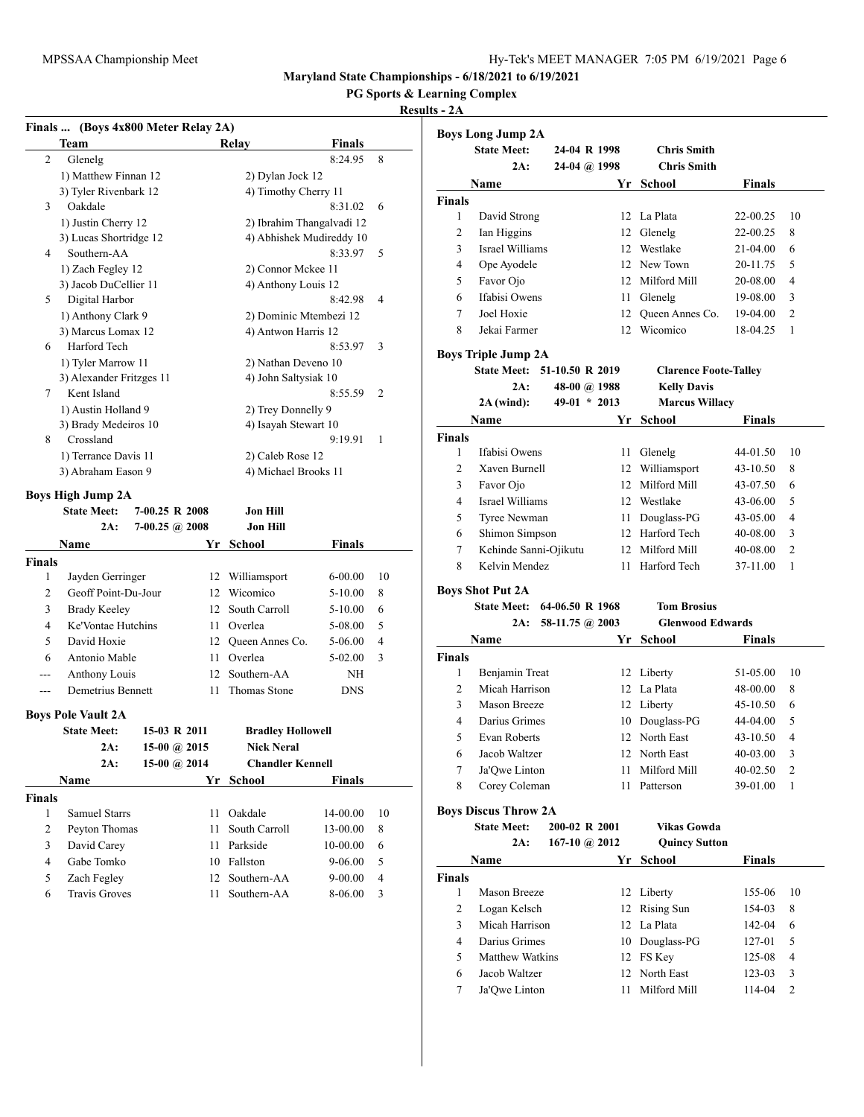**PG Sports & Learning Complex**

## **Results - 2A**

|               |                           | Finals  (Boys 4x800 Meter Relay 2A) |                           |               |    |
|---------------|---------------------------|-------------------------------------|---------------------------|---------------|----|
|               | Team                      |                                     | Relay                     | <b>Finals</b> |    |
| 2             | Glenelg                   |                                     |                           | 8:24.95       | 8  |
|               | 1) Matthew Finnan 12      |                                     | 2) Dylan Jock 12          |               |    |
|               | 3) Tyler Rivenbark 12     |                                     | 4) Timothy Cherry 11      |               |    |
| 3             | Oakdale                   |                                     |                           | 8:31.02       | 6  |
|               | 1) Justin Cherry 12       |                                     | 2) Ibrahim Thangalvadi 12 |               |    |
|               | 3) Lucas Shortridge 12    |                                     | 4) Abhishek Mudireddy 10  |               |    |
| 4             | Southern-AA               |                                     |                           | 8:33.97       | 5  |
|               | 1) Zach Fegley 12         |                                     | 2) Connor Mckee 11        |               |    |
|               | 3) Jacob DuCellier 11     |                                     | 4) Anthony Louis 12       |               |    |
| 5             | Digital Harbor            |                                     |                           | 8:42.98       | 4  |
|               | 1) Anthony Clark 9        |                                     | 2) Dominic Mtembezi 12    |               |    |
|               | 3) Marcus Lomax 12        |                                     | 4) Antwon Harris 12       |               |    |
| 6             | Harford Tech              |                                     |                           | 8:53.97       | 3  |
|               | 1) Tyler Marrow 11        |                                     | 2) Nathan Deveno 10       |               |    |
|               | 3) Alexander Fritzges 11  |                                     | 4) John Saltysiak 10      |               |    |
| 7             | Kent Island               |                                     |                           | 8:55.59       | 2  |
|               | 1) Austin Holland 9       |                                     | 2) Trey Donnelly 9        |               |    |
|               | 3) Brady Medeiros 10      |                                     | 4) Isayah Stewart 10      |               |    |
| 8             | Crossland                 |                                     |                           | 9:19.91       | 1  |
|               | 1) Terrance Davis 11      |                                     | 2) Caleb Rose 12          |               |    |
|               | 3) Abraham Eason 9        |                                     | 4) Michael Brooks 11      |               |    |
|               | <b>Boys High Jump 2A</b>  |                                     |                           |               |    |
|               | <b>State Meet:</b>        | 7-00.25 R 2008                      | Jon Hill                  |               |    |
|               | 2A:                       | $7-00.25$ (a) 2008                  | <b>Jon Hill</b>           |               |    |
|               | Name                      | Yr                                  | <b>School</b>             | <b>Finals</b> |    |
| <b>Finals</b> |                           |                                     |                           |               |    |
| 1             | Jayden Gerringer          |                                     | 12 Williamsport           | 6-00.00       | 10 |
| 2             | Geoff Point-Du-Jour       |                                     | 12 Wicomico               | 5-10.00       | 8  |
| 3             | <b>Brady Keeley</b>       | 12                                  | South Carroll             | 5-10.00       | 6  |
| 4             | Ke'Vontae Hutchins        | 11 -                                | Overlea                   | 5-08.00       | 5  |
| 5             | David Hoxie               |                                     | 12 Queen Annes Co.        | 5-06.00       | 4  |
| 6             | Antonio Mable             | 11 -                                | Overlea                   | 5-02.00       | 3  |
| ---           | Anthony Louis             |                                     | 12 Southern-AA            | ΝH            |    |
| $---$         | Demetrius Bennett         | 11                                  | Thomas Stone              | DNS           |    |
|               |                           |                                     |                           |               |    |
|               | <b>Boys Pole Vault 2A</b> |                                     |                           |               |    |
|               | <b>State Meet:</b>        | 15-03 R 2011                        | <b>Bradley Hollowell</b>  |               |    |
|               | 2A:                       | 15-00 @ 2015                        | <b>Nick Neral</b>         |               |    |
|               | 2A:                       | 15-00 @ $2014$                      | <b>Chandler Kennell</b>   |               |    |
|               | Name                      | Yr                                  | <b>School</b>             | Finals        |    |
| <b>Finals</b> |                           |                                     |                           |               |    |
| 1             | <b>Samuel Starrs</b>      | 11                                  | Oakdale                   | 14-00.00      | 10 |
| 2             | Peyton Thomas             | 11                                  | South Carroll             | 13-00.00      | 8  |
| 3             | David Carey               | 11                                  | Parkside                  | 10-00.00      | 6  |
| 4             | Gabe Tomko                | 10                                  | Fallston                  | 9-06.00       | 5  |
| 5             | Zach Fegley               | 12                                  | Southern-AA               | $9 - 00.00$   | 4  |
| 6             | Travis Groves             | 11                                  | Southern-AA               | 8-06.00       | 3  |

|                | <b>Boys Long Jump 2A</b>    |                 |                 |                              |               |                |
|----------------|-----------------------------|-----------------|-----------------|------------------------------|---------------|----------------|
|                | <b>State Meet:</b>          | 24-04 R 1998    |                 | <b>Chris Smith</b>           |               |                |
|                | 2A:                         | 24-04 @ 1998    |                 | <b>Chris Smith</b>           |               |                |
|                | Name                        |                 | Yr              | School                       | <b>Finals</b> |                |
| <b>Finals</b>  |                             |                 |                 |                              |               |                |
| 1              | David Strong                |                 | 12              | La Plata                     | 22-00.25      | 10             |
| 2              | Ian Higgins                 |                 | 12              | Glenelg                      | 22-00.25      | 8              |
| 3              | Israel Williams             |                 |                 | 12 Westlake                  | 21-04.00      | 6              |
| $\overline{4}$ | Ope Ayodele                 |                 |                 | 12 New Town                  | 20-11.75      | 5              |
| 5              | Favor Ojo                   |                 |                 | 12 Milford Mill              | 20-08.00      | 4              |
| 6              | Ifabisi Owens               |                 | 11 -            | Glenelg                      | 19-08.00      | 3              |
| 7              | Joel Hoxie                  |                 | 12              | Queen Annes Co.              | 19-04.00      | $\overline{2}$ |
| 8              | Jekai Farmer                |                 | 12              | Wicomico                     | 18-04.25      | 1              |
|                |                             |                 |                 |                              |               |                |
|                | <b>Boys Triple Jump 2A</b>  |                 |                 |                              |               |                |
|                | <b>State Meet:</b>          | 51-10.50 R 2019 |                 | <b>Clarence Foote-Talley</b> |               |                |
|                | 2A:                         | 48-00 @ 1988    |                 | <b>Kelly Davis</b>           |               |                |
|                | $2A$ (wind):                | $49-01 * 2013$  |                 | <b>Marcus Willacy</b>        |               |                |
|                | Name                        |                 | Yr              | <b>School</b>                | <b>Finals</b> |                |
| Finals         |                             |                 |                 |                              |               |                |
| 1              | Ifabisi Owens               |                 | 11              | Glenelg                      | 44-01.50      | 10             |
| 2              | Xaven Burnell               |                 | 12              | Williamsport                 | 43-10.50      | 8              |
| 3              | Favor Ojo                   |                 | 12              | Milford Mill                 | 43-07.50      | 6              |
| $\overline{4}$ | Israel Williams             |                 |                 | 12 Westlake                  | 43-06.00      | 5              |
| 5              | <b>Tyree Newman</b>         |                 | 11              | Douglass-PG                  | 43-05.00      | 4              |
| 6              | Shimon Simpson              |                 |                 | 12 Harford Tech              | 40-08.00      | 3              |
| 7              | Kehinde Sanni-Ojikutu       |                 |                 | 12 Milford Mill              | 40-08.00      | $\overline{2}$ |
| 8              | Kelvin Mendez               |                 | 11              | Harford Tech                 | 37-11.00      | 1              |
|                |                             |                 |                 |                              |               |                |
|                | Boys Shot Put 2A            |                 |                 |                              |               |                |
|                | <b>State Meet:</b>          | 64-06.50 R 1968 |                 | <b>Tom Brosius</b>           |               |                |
|                | 2A:                         | 58-11.75 @ 2003 |                 | <b>Glenwood Edwards</b>      |               |                |
|                | Name                        |                 | Yr              | <b>School</b>                | <b>Finals</b> |                |
| Finals         |                             |                 |                 |                              |               |                |
| 1              | Benjamin Treat              |                 | 12              | Liberty                      | 51-05.00      | 10             |
| 2              | Micah Harrison              |                 |                 | 12 La Plata                  | 48-00.00      | 8              |
| 3              | <b>Mason Breeze</b>         |                 |                 | 12 Liberty                   | 45-10.50      | 6              |
| 4              | Darius Grimes               |                 | 10              | Douglass-PG                  | 44-04.00      | 5              |
| 5              | <b>Evan Roberts</b>         |                 | 12 <sup>2</sup> | North East                   | 43-10.50      | $\overline{4}$ |
| 6              | Jacob Waltzer               |                 | 12              | North East                   | 40-03.00      | 3              |
| 7              | Ja'Qwe Linton               |                 | 11              | Milford Mill                 | 40-02.50      | 2              |
| 8              | Corey Coleman               |                 | 11              | Patterson                    | 39-01.00      | 1              |
|                |                             |                 |                 |                              |               |                |
|                | <b>Boys Discus Throw 2A</b> |                 |                 |                              |               |                |
|                | <b>State Meet:</b>          | 200-02 R 2001   |                 | Vikas Gowda                  |               |                |
|                | 2A:                         | 167-10 @ 2012   |                 | <b>Quincy Sutton</b>         |               |                |
|                | Name                        |                 |                 | Yr School                    | Finals        |                |
| Finals         |                             |                 |                 |                              |               |                |
| $\mathbf{1}$   | Mason Breeze                |                 | 12              | Liberty                      | 155-06        | 10             |
| 2              | Logan Kelsch                |                 | 12              | Rising Sun                   | 154-03        | 8              |
| 3              | Micah Harrison              |                 |                 | 12 La Plata                  | 142-04        | 6              |

5 Matthew Watkins 12 FS Key 125-08 4 6 Jacob Waltzer 12 North East 123-03 3 7 Ja'Qwe Linton 11 Milford Mill 114-04 2

4 Darius Grimes 10 Douglass-PG 127-01 5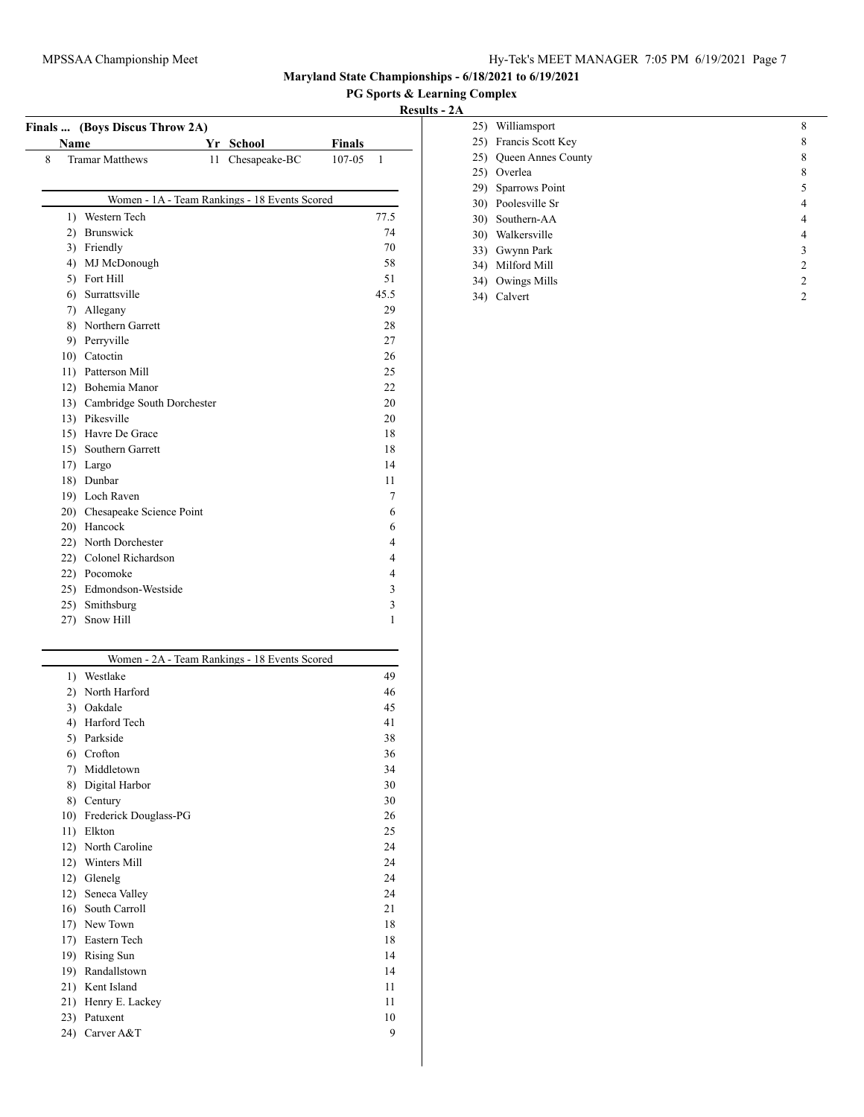## **PG Sports & Learning Complex**

|              | Finals  (Boys Discus Throw 2A) |    |                                               |                        |      |
|--------------|--------------------------------|----|-----------------------------------------------|------------------------|------|
|              | <b>Name</b>                    |    | Yr School                                     | <b>Finals</b>          |      |
| 8            | <b>Tramar Matthews</b>         | 11 | Chesapeake-BC                                 | 107-05<br>$\mathbf{1}$ |      |
|              |                                |    |                                               |                        |      |
|              |                                |    | Women - 1A - Team Rankings - 18 Events Scored |                        |      |
|              | 1) Western Tech                |    |                                               |                        | 77.5 |
| $\mathbf{2}$ | Brunswick                      |    |                                               |                        | 74   |
|              | 3) Friendly                    |    |                                               |                        | 70   |
|              | 4) MJ McDonough                |    |                                               |                        | 58   |
|              | 5) Fort Hill                   |    |                                               |                        | 51   |
|              | 6) Surrattsville               |    |                                               |                        | 45.5 |
|              | 7) Allegany                    |    |                                               |                        | 29   |
|              | 8) Northern Garrett            |    |                                               |                        | 28   |
|              | 9) Perryville                  |    |                                               |                        | 27   |
|              | 10) Catoctin                   |    |                                               |                        | 26   |
|              | 11) Patterson Mill             |    |                                               |                        | 25   |
|              | 12) Bohemia Manor              |    |                                               |                        | 22   |
|              | 13) Cambridge South Dorchester |    |                                               |                        | 20   |
|              | 13) Pikesville                 |    |                                               |                        | 20   |
|              | 15) Havre De Grace             |    |                                               |                        | 18   |
|              | 15) Southern Garrett           |    |                                               |                        | 18   |
|              | 17) Largo                      |    |                                               |                        | 14   |
|              | 18) Dunbar                     |    |                                               |                        | 11   |
|              | 19) Loch Raven                 |    |                                               |                        | 7    |
|              | 20) Chesapeake Science Point   |    |                                               |                        | 6    |
|              | 20) Hancock                    |    |                                               |                        | 6    |
|              | 22) North Dorchester           |    |                                               |                        | 4    |
|              | 22) Colonel Richardson         |    |                                               |                        | 4    |
|              | 22) Pocomoke                   |    |                                               |                        | 4    |
|              | 25) Edmondson-Westside         |    |                                               |                        | 3    |
|              | 25) Smithsburg                 |    |                                               |                        | 3    |
| 27)          | Snow Hill                      |    |                                               |                        | 1    |

|                  | Women - 2A - Team Rankings - 18 Events Scored |    |
|------------------|-----------------------------------------------|----|
| $\left( \right)$ | Westlake                                      | 49 |
| $\mathbf{2}$     | North Harford                                 | 46 |
| 3)               | Oakdale                                       | 45 |
| 4)               | Harford Tech                                  | 41 |
| 5)               | Parkside                                      | 38 |
| 6)               | Crofton                                       | 36 |
| 7)               | Middletown                                    | 34 |
| 8)               | Digital Harbor                                | 30 |
| 8)               | Century                                       | 30 |
| 10)              | Frederick Douglass-PG                         | 26 |
| 11)              | Elkton                                        | 25 |
| 12)              | North Caroline                                | 24 |
| 12)              | Winters Mill                                  | 24 |
| 12)              | Glenelg                                       | 24 |
| 12)              | Seneca Valley                                 | 24 |
| 16)              | South Carroll                                 | 21 |
| 17)              | New Town                                      | 18 |
| 17)              | Eastern Tech                                  | 18 |
| 19)              | Rising Sun                                    | 14 |
| 19)              | Randallstown                                  | 14 |
| 21)              | Kent Island                                   | 11 |
| 21)              | Henry E. Lackey                               | 11 |
| 23)              | Patuxent                                      | 10 |
| 24)              | Carver A&T                                    | 9  |
|                  |                                               |    |

| 25) | Williamsport              | 8              |
|-----|---------------------------|----------------|
|     | 25) Francis Scott Key     | 8              |
| 25) | <b>Queen Annes County</b> | 8              |
| 25) | Overlea                   | 8              |
| 29) | Sparrows Point            | 5              |
|     | 30) Poolesville Sr        | 4              |
|     | 30) Southern-AA           | 4              |
|     | 30) Walkersville          | 4              |
| 33) | Gwynn Park                | 3              |
| 34) | Milford Mill              | $\overline{2}$ |
| 34) | Owings Mills              | $\mathfrak{D}$ |
| 34) | Calvert                   | $\mathfrak{D}$ |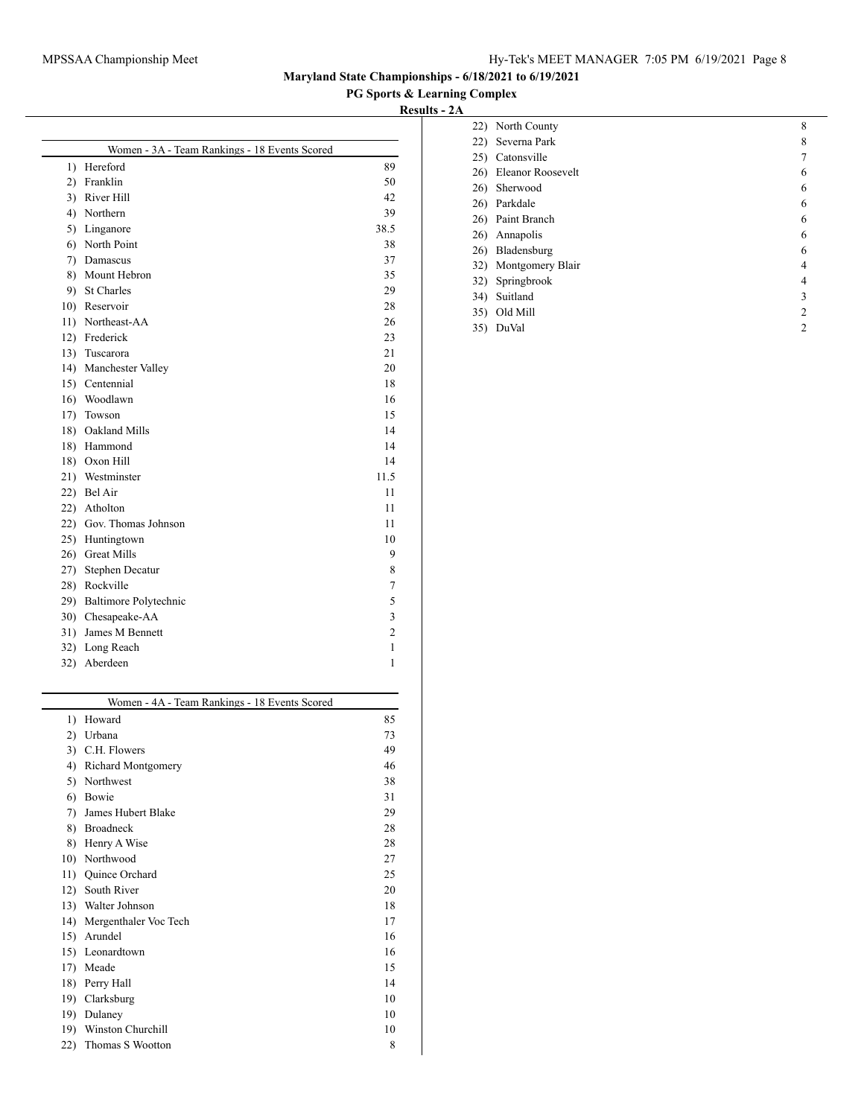## **PG Sports & Learning Complex**

|    | Women - 3A - Team Rankings - 18 Events Scored |                |
|----|-----------------------------------------------|----------------|
|    | 1) Hereford                                   | 89             |
| 2) | Franklin                                      | 50             |
| 3) | River Hill                                    | 42             |
|    | 4) Northern                                   | 39             |
|    | 5) Linganore                                  | 38.5           |
|    | 6) North Point                                | 38             |
|    | 7) Damascus                                   | 37             |
| 8) | Mount Hebron                                  | 35             |
| 9) | <b>St Charles</b>                             | 29             |
|    | 10) Reservoir                                 | 28             |
|    | 11) Northeast-AA                              | 26             |
|    | 12) Frederick                                 | 23             |
|    | 13) Tuscarora                                 | 21             |
|    | 14) Manchester Valley                         | 20             |
|    | 15) Centennial                                | 18             |
|    | 16) Woodlawn                                  | 16             |
|    | 17) Towson                                    | 15             |
|    | 18) Oakland Mills                             | 14             |
|    | 18) Hammond                                   | 14             |
|    | 18) Oxon Hill                                 | 14             |
|    | 21) Westminster                               | 11.5           |
|    | 22) Bel Air                                   | 11             |
|    | 22) Atholton                                  | 11             |
|    | 22) Gov. Thomas Johnson                       | 11             |
|    | 25) Huntingtown                               | 10             |
|    | 26) Great Mills                               | 9              |
|    | 27) Stephen Decatur                           | 8              |
|    | 28) Rockville                                 | 7              |
|    | 29) Baltimore Polytechnic                     | 5              |
|    | 30) Chesapeake-AA                             | 3              |
|    | 31) James M Bennett                           | $\overline{c}$ |
|    | 32) Long Reach                                | 1              |
|    | 32) Aberdeen                                  | 1              |
|    | Women - 4A - Team Rankings - 18 Events Scored |                |
| 1) | Howard                                        | 85             |
| 2) | Urbana                                        | 73             |
| 3) | C.H. Flowers                                  | 49             |
|    | 4) Richard Montgomery                         | 46             |
| 5) | Northwest                                     | 38             |
| 6) | Bowie                                         | 31             |
| 7) | James Hubert Blake                            | 29             |

|                   | 18) Oakland Mills                             | 14             |
|-------------------|-----------------------------------------------|----------------|
|                   | 18) Hammond                                   | 14             |
|                   | 18) Oxon Hill                                 | 14             |
|                   | 21) Westminster                               | 11.5           |
|                   | 22) Bel Air                                   | 11             |
| 22)               | Atholton                                      | 11             |
| 22)               | Gov. Thomas Johnson                           | 11             |
| 25)               | Huntingtown                                   | 10             |
|                   | 26) Great Mills                               | 9              |
| 27)               | Stephen Decatur                               | 8              |
| 28)               | Rockville                                     | 7              |
| 29)               | Baltimore Polytechnic                         | 5              |
| 30)               | Chesapeake-AA                                 | 3              |
| 31)               | James M Bennett                               | $\overline{c}$ |
|                   | 32) Long Reach                                | 1              |
| 32)               | Aberdeen                                      | 1              |
|                   |                                               |                |
|                   | Women - 4A - Team Rankings - 18 Events Scored |                |
| 1)                | Howard                                        | 85             |
| 2)                | Urbana                                        | 73             |
|                   | 3) C.H. Flowers                               | 49             |
|                   | 4) Richard Montgomery                         | 46             |
|                   |                                               |                |
|                   | 5) Northwest                                  | 38             |
| 6)                | Bowie                                         | 31             |
| 7)                | James Hubert Blake                            | 29             |
| 8)                | Broadneck                                     | 28             |
| 8)                | Henry A Wise                                  | 28             |
|                   | Northwood                                     | 27             |
| 10)<br>11)        | Quince Orchard                                | 25             |
|                   | South River                                   | 20             |
|                   | Walter Johnson                                | 18             |
| 12)<br>13)<br>14) | Mergenthaler Voc Tech                         | 17             |
|                   | Arundel                                       | 16             |
| 15)<br>15)        | Leonardtown                                   | 16             |
| 17)               | Meade                                         | 15             |
| 18)               | Perry Hall                                    | 14             |
| 19)               | Clarksburg                                    | 10             |
| 19)               | Dulaney                                       | 10             |
| 19)               | Winston Churchill                             | 10             |

|     | 22) North County  | 8 |
|-----|-------------------|---|
| 22) | Severna Park      | 8 |
| 25) | Catonsville       |   |
| 26) | Eleanor Roosevelt | 6 |
|     | 26) Sherwood      | 6 |
| 26) | Parkdale          | 6 |
|     | 26) Paint Branch  | 6 |
| 26) | Annapolis         | 6 |
| 26) | Bladensburg       | 6 |
| 32) | Montgomery Blair  | 4 |
|     | 32) Springbrook   | 4 |
| 34) | Suitland          | 3 |
| 35) | Old Mill          | 2 |
| 35) | DuVal             | 2 |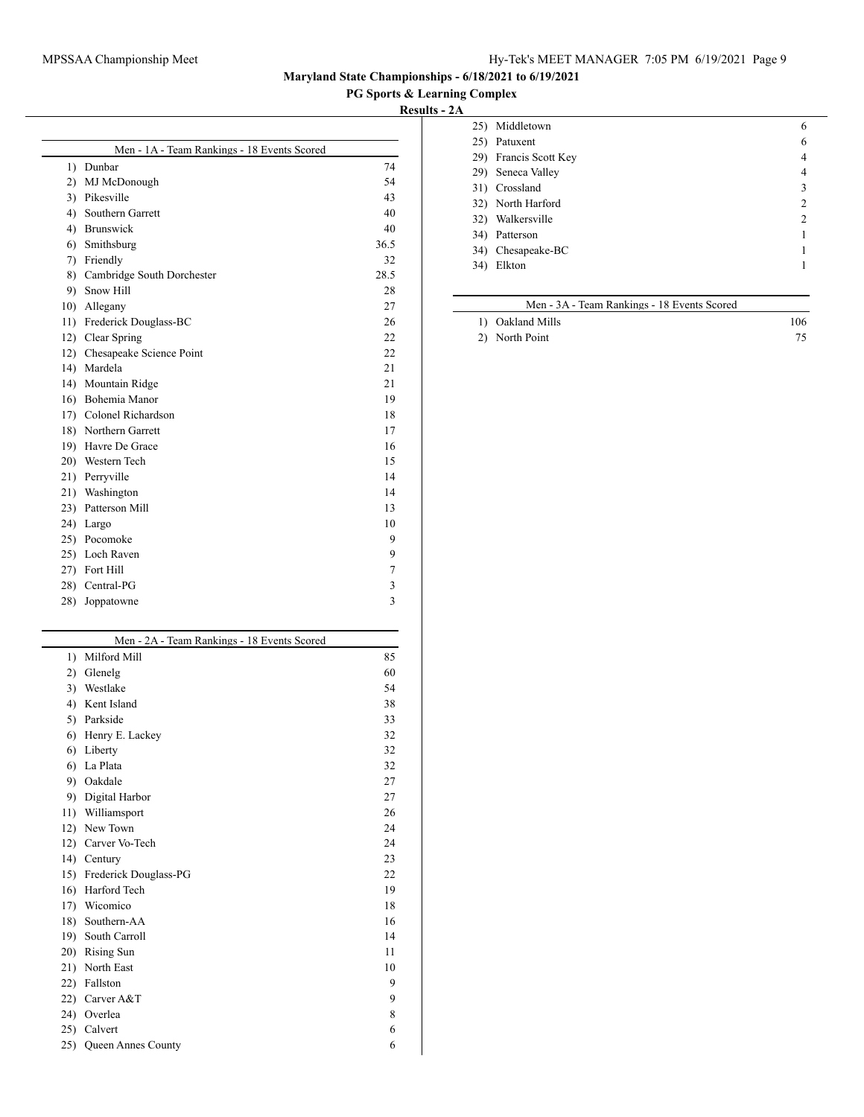## MPSSAA Championship Meet Hy-Tek's MEET MANAGER 7:05 PM 6/19/2021 Page 9

**Maryland State Championships - 6/18/2021 to 6/19/2021**

## **PG Sports & Learning Complex**

**Results - 2A**

|     | Men - 1A - Team Rankings - 18 Events Scored |      |
|-----|---------------------------------------------|------|
|     | 1) Dunbar                                   | 74   |
| 2)  | MJ McDonough                                | 54   |
|     | 3) Pikesville                               | 43   |
| 4)  | Southern Garrett                            | 40   |
|     | 4) Brunswick                                | 40   |
|     | 6) Smithsburg                               | 36.5 |
| 7)  | Friendly                                    | 32   |
|     | 8) Cambridge South Dorchester               | 28.5 |
| 9)  | Snow Hill                                   | 28   |
|     | 10) Allegany                                | 27   |
|     | 11) Frederick Douglass-BC                   | 26   |
| 12) | Clear Spring                                | 22   |
|     | 12) Chesapeake Science Point                | 22   |
|     | 14) Mardela                                 | 21   |
|     | 14) Mountain Ridge                          | 21   |
|     | 16) Bohemia Manor                           | 19   |
|     | 17) Colonel Richardson                      | 18   |
|     | 18) Northern Garrett                        | 17   |
|     | 19) Havre De Grace                          | 16   |
|     | 20) Western Tech                            | 15   |
|     | 21) Perryville                              | 14   |
| 21) | Washington                                  | 14   |
|     | 23) Patterson Mill                          | 13   |
|     | 24) Largo                                   | 10   |
|     | 25) Pocomoke                                | 9    |
|     | 25) Loch Raven                              | 9    |
| 27) | Fort Hill                                   | 7    |
|     | 28) Central-PG                              | 3    |
| 28) | Joppatowne                                  | 3    |
|     |                                             |      |

|                  | Men - 2A - Team Rankings - 18 Events Scored |    |  |
|------------------|---------------------------------------------|----|--|
| $\left( \right)$ | Milford Mill                                | 85 |  |
| 2)               | Glenelg                                     | 60 |  |
| 3)               | Westlake                                    | 54 |  |
| 4)               | Kent Island                                 |    |  |
| 5)               | Parkside                                    |    |  |
| 6)               | Henry E. Lackey                             | 32 |  |
| 6)               | Liberty                                     |    |  |
| 6)               | La Plata                                    | 32 |  |
| 9)               | Oakdale                                     | 27 |  |
| 9)               | Digital Harbor                              | 27 |  |
| 11)              | Williamsport                                | 26 |  |
| 12)              | New Town                                    | 24 |  |
| 12)              | Carver Vo-Tech                              | 24 |  |
| 14)              | Century                                     | 23 |  |
| 15)              | Frederick Douglass-PG                       | 22 |  |
| 16)              | Harford Tech                                | 19 |  |
| 17)              | Wicomico                                    | 18 |  |
| 18)              | Southern-AA                                 | 16 |  |
| 19)              | South Carroll                               | 14 |  |
| 20)              | Rising Sun                                  | 11 |  |
| 21)              | North East                                  | 10 |  |
| 22)              | Fallston                                    | 9  |  |
| 22)              | Carver A&T                                  | 9  |  |
| 24)              | Overlea                                     | 8  |  |
| 25)              | Calvert                                     | 6  |  |
| 25)              | Queen Annes County                          | 6  |  |

| 25) | Middletown        | 6 |
|-----|-------------------|---|
| 25) | Patuxent          | 6 |
| 29) | Francis Scott Key | 4 |
|     | 29) Seneca Valley | 4 |
|     | 31) Crossland     | 3 |
|     | 32) North Harford | 2 |
| 32) | Walkersville      | 2 |
| 34) | Patterson         |   |
|     | 34) Chesapeake-BC |   |
| 34) | Elkton            |   |
|     |                   |   |

# Men - 3A - Team Rankings - 18 Events Scored

| 1) Oakland Mills | 106 |
|------------------|-----|
|                  |     |

2) North Point 75